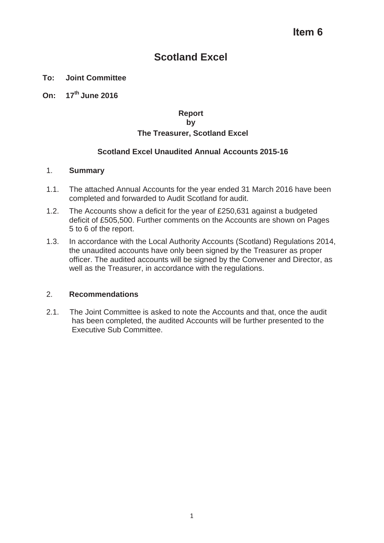# ltem 6

# **Scotland Excel**

# **To: Joint Committee**

# **On: 17th June 2016**

# **Report by**

# **The Treasurer, Scotland Excel**

# **Scotland Excel Unaudited Annual Accounts 2015-16**

# 1. **Summary**

- 1.1. The attached Annual Accounts for the year ended 31 March 2016 have been completed and forwarded to Audit Scotland for audit.
- 1.2. The Accounts show a deficit for the year of £250,631 against a budgeted deficit of £505,500. Further comments on the Accounts are shown on Pages 5 to 6 of the report.
- 1.3. In accordance with the Local Authority Accounts (Scotland) Regulations 2014, the unaudited accounts have only been signed by the Treasurer as proper officer. The audited accounts will be signed by the Convener and Director, as well as the Treasurer, in accordance with the regulations.

# 2. **Recommendations**

2.1. The Joint Committee is asked to note the Accounts and that, once the audit has been completed, the audited Accounts will be further presented to the Executive Sub Committee.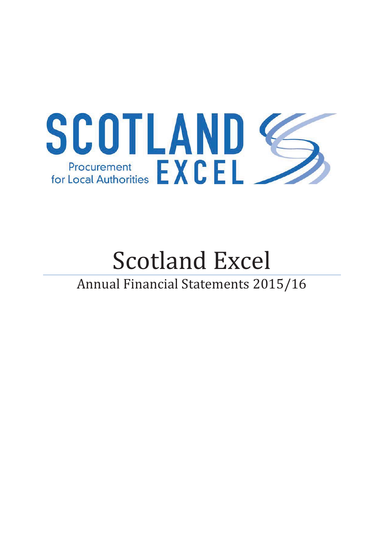

# Scotland Excel Annual Financial Statements 2015/16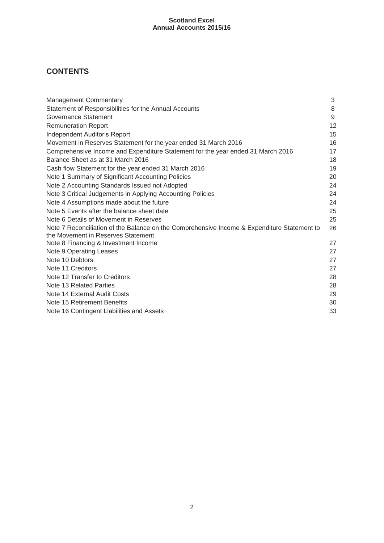# **CONTENTS**

| <b>Management Commentary</b>                                                                                                      | 3  |
|-----------------------------------------------------------------------------------------------------------------------------------|----|
| Statement of Responsibilities for the Annual Accounts                                                                             | 8  |
| Governance Statement                                                                                                              | 9  |
| <b>Remuneration Report</b>                                                                                                        | 12 |
| Independent Auditor's Report                                                                                                      | 15 |
| Movement in Reserves Statement for the year ended 31 March 2016                                                                   | 16 |
| Comprehensive Income and Expenditure Statement for the year ended 31 March 2016                                                   | 17 |
| Balance Sheet as at 31 March 2016                                                                                                 | 18 |
| Cash flow Statement for the year ended 31 March 2016                                                                              | 19 |
| Note 1 Summary of Significant Accounting Policies                                                                                 | 20 |
| Note 2 Accounting Standards Issued not Adopted                                                                                    | 24 |
| Note 3 Critical Judgements in Applying Accounting Policies                                                                        | 24 |
| Note 4 Assumptions made about the future                                                                                          | 24 |
| Note 5 Events after the balance sheet date                                                                                        | 25 |
| Note 6 Details of Movement in Reserves                                                                                            | 25 |
| Note 7 Reconciliation of the Balance on the Comprehensive Income & Expenditure Statement to<br>the Movement in Reserves Statement | 26 |
| Note 8 Financing & Investment Income                                                                                              | 27 |
| Note 9 Operating Leases                                                                                                           | 27 |
| Note 10 Debtors                                                                                                                   | 27 |
| Note 11 Creditors                                                                                                                 | 27 |
| Note 12 Transfer to Creditors                                                                                                     | 28 |
| Note 13 Related Parties                                                                                                           | 28 |
| Note 14 External Audit Costs                                                                                                      | 29 |
| Note 15 Retirement Benefits                                                                                                       | 30 |
| Note 16 Contingent Liabilities and Assets                                                                                         | 33 |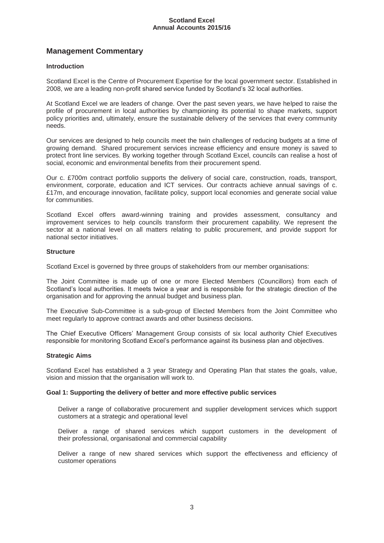# **Management Commentary**

# **Introduction**

Scotland Excel is the Centre of Procurement Expertise for the local government sector. Established in 2008, we are a leading non-profit shared service funded by Scotland's 32 local authorities.

At Scotland Excel we are leaders of change. Over the past seven years, we have helped to raise the profile of procurement in local authorities by championing its potential to shape markets, support policy priorities and, ultimately, ensure the sustainable delivery of the services that every community needs.

Our services are designed to help councils meet the twin challenges of reducing budgets at a time of growing demand. Shared procurement services increase efficiency and ensure money is saved to protect front line services. By working together through Scotland Excel, councils can realise a host of social, economic and environmental benefits from their procurement spend.

Our c. £700m contract portfolio supports the delivery of social care, construction, roads, transport, environment, corporate, education and ICT services. Our contracts achieve annual savings of c. £17m, and encourage innovation, facilitate policy, support local economies and generate social value for communities.

Scotland Excel offers award-winning training and provides assessment, consultancy and improvement services to help councils transform their procurement capability. We represent the sector at a national level on all matters relating to public procurement, and provide support for national sector initiatives.

#### **Structure**

Scotland Excel is governed by three groups of stakeholders from our member organisations:

The Joint Committee is made up of one or more Elected Members (Councillors) from each of Scotland's local authorities. It meets twice a year and is responsible for the strategic direction of the organisation and for approving the annual budget and business plan.

The Executive Sub-Committee is a sub-group of Elected Members from the Joint Committee who meet regularly to approve contract awards and other business decisions.

The Chief Executive Officers' Management Group consists of six local authority Chief Executives responsible for monitoring Scotland Excel's performance against its business plan and objectives.

#### **Strategic Aims**

Scotland Excel has established a 3 year Strategy and Operating Plan that states the goals, value, vision and mission that the organisation will work to.

#### **Goal 1: Supporting the delivery of better and more effective public services**

Deliver a range of collaborative procurement and supplier development services which support customers at a strategic and operational level

Deliver a range of shared services which support customers in the development of their professional, organisational and commercial capability

Deliver a range of new shared services which support the effectiveness and efficiency of customer operations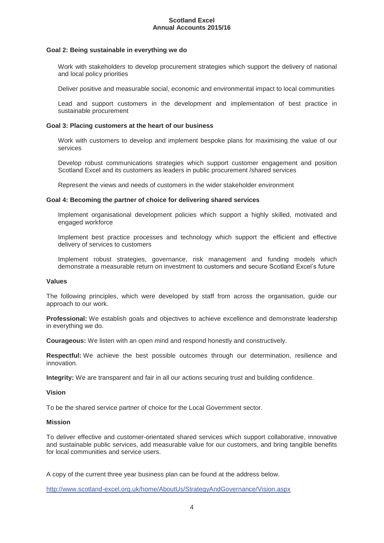#### **Goal 2: Being sustainable in everything we do**

Work with stakeholders to develop procurement strategies which support the delivery of national and local policy priorities

Deliver positive and measurable social, economic and environmental impact to local communities

Lead and support customers in the development and implementation of best practice in sustainable procurement

#### **Goal 3: Placing customers at the heart of our business**

Work with customers to develop and implement bespoke plans for maximising the value of our services

Develop robust communications strategies which support customer engagement and position Scotland Excel and its customers as leaders in public procurement /shared services

Represent the views and needs of customers in the wider stakeholder environment

#### **Goal 4: Becoming the partner of choice for delivering shared services**

Implement organisational development policies which support a highly skilled, motivated and engaged workforce

Implement best practice processes and technology which support the efficient and effective delivery of services to customers

Implement robust strategies, governance, risk management and funding models which demonstrate a measurable return on investment to customers and secure Scotland Excel's future

#### **Values**

The following principles, which were developed by staff from across the organisation, guide our approach to our work.

**Professional:** We establish goals and objectives to achieve excellence and demonstrate leadership in everything we do.

**Courageous:** We listen with an open mind and respond honestly and constructively.

**Respectful:** We achieve the best possible outcomes through our determination, resilience and innovation.

**Integrity:** We are transparent and fair in all our actions securing trust and building confidence.

#### **Vision**

To be the shared service partner of choice for the Local Government sector.

#### **Mission**

To deliver effective and customer-orientated shared services which support collaborative, innovative and sustainable public services, add measurable value for our customers, and bring tangible benefits for local communities and service users.

A copy of the current three year business plan can be found at the address below.

http://www.scotland-excel.org.uk/home/AboutUs/StrategyAndGovernance/Vision.aspx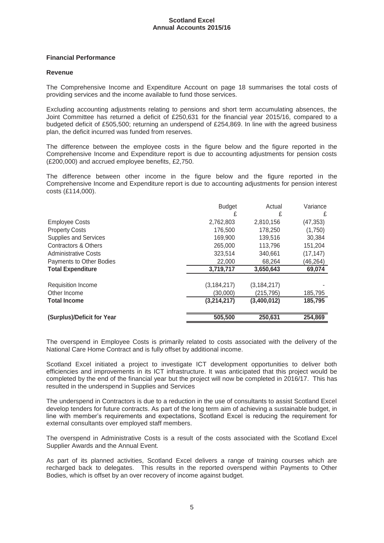# **Financial Performance**

## **Revenue**

The Comprehensive Income and Expenditure Account on page 18 summarises the total costs of providing services and the income available to fund those services.

Excluding accounting adjustments relating to pensions and short term accumulating absences, the Joint Committee has returned a deficit of £250,631 for the financial year 2015/16, compared to a budgeted deficit of £505,500; returning an underspend of £254,869. In line with the agreed business plan, the deficit incurred was funded from reserves.

The difference between the employee costs in the figure below and the figure reported in the Comprehensive Income and Expenditure report is due to accounting adjustments for pension costs (£200,000) and accrued employee benefits, £2,750.

The difference between other income in the figure below and the figure reported in the Comprehensive Income and Expenditure report is due to accounting adjustments for pension interest costs (£114,000).

|                              | <b>Budget</b> | Actual        | Variance  |
|------------------------------|---------------|---------------|-----------|
|                              | £             | £             | £         |
| <b>Employee Costs</b>        | 2,762,803     | 2,810,156     | (47, 353) |
| <b>Property Costs</b>        | 176,500       | 178,250       | (1,750)   |
| <b>Supplies and Services</b> | 169,900       | 139,516       | 30,384    |
| Contractors & Others         | 265,000       | 113,796       | 151,204   |
| <b>Administrative Costs</b>  | 323,514       | 340,661       | (17, 147) |
| Payments to Other Bodies     | 22,000        | 68,264        | (46, 264) |
| <b>Total Expenditure</b>     | 3,719,717     | 3,650,643     | 69,074    |
| Requisition Income           | (3, 184, 217) | (3, 184, 217) |           |
| Other Income                 | (30,000)      | (215,795)     | 185,795   |
| <b>Total Income</b>          | (3,214,217)   | (3,400,012)   | 185,795   |
| (Surplus)/Deficit for Year   | 505,500       | 250,631       | 254,869   |

The overspend in Employee Costs is primarily related to costs associated with the delivery of the National Care Home Contract and is fully offset by additional income.

Scotland Excel initiated a project to investigate ICT development opportunities to deliver both efficiencies and improvements in its ICT infrastructure. It was anticipated that this project would be completed by the end of the financial year but the project will now be completed in 2016/17. This has resulted in the underspend in Supplies and Services

The underspend in Contractors is due to a reduction in the use of consultants to assist Scotland Excel develop tenders for future contracts. As part of the long term aim of achieving a sustainable budget, in line with member's requirements and expectations, Scotland Excel is reducing the requirement for external consultants over employed staff members.

The overspend in Administrative Costs is a result of the costs associated with the Scotland Excel Supplier Awards and the Annual Event.

As part of its planned activities, Scotland Excel delivers a range of training courses which are recharged back to delegates. This results in the reported overspend within Payments to Other Bodies, which is offset by an over recovery of income against budget.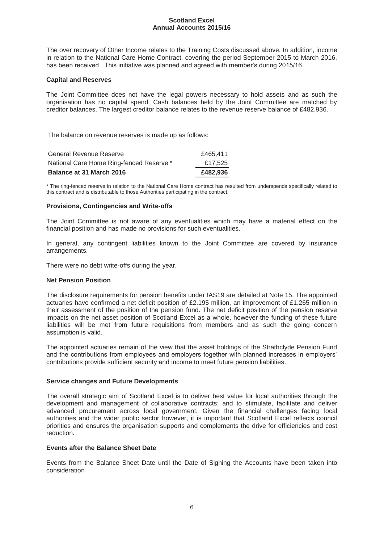The over recovery of Other Income relates to the Training Costs discussed above. In addition, income in relation to the National Care Home Contract, covering the period September 2015 to March 2016, has been received. This initiative was planned and agreed with member's during 2015/16.

## **Capital and Reserves**

The Joint Committee does not have the legal powers necessary to hold assets and as such the organisation has no capital spend. Cash balances held by the Joint Committee are matched by creditor balances. The largest creditor balance relates to the revenue reserve balance of £482,936.

The balance on revenue reserves is made up as follows:

| <b>Balance at 31 March 2016</b>          | £482.936 |
|------------------------------------------|----------|
| National Care Home Ring-fenced Reserve * | £17.525  |
| General Revenue Reserve                  | £465.411 |

\* The ring-fenced reserve in relation to the National Care Home contract has resulted from underspends specifically related to this contract and is distributable to those Authorities participating in the contract.

# **Provisions, Contingencies and Write-offs**

The Joint Committee is not aware of any eventualities which may have a material effect on the financial position and has made no provisions for such eventualities.

In general, any contingent liabilities known to the Joint Committee are covered by insurance arrangements.

There were no debt write-offs during the year.

#### **Net Pension Position**

The disclosure requirements for pension benefits under IAS19 are detailed at Note 15. The appointed actuaries have confirmed a net deficit position of £2.195 million, an improvement of £1.265 million in their assessment of the position of the pension fund. The net deficit position of the pension reserve impacts on the net asset position of Scotland Excel as a whole, however the funding of these future liabilities will be met from future requisitions from members and as such the going concern assumption is valid.

The appointed actuaries remain of the view that the asset holdings of the Strathclyde Pension Fund and the contributions from employees and employers together with planned increases in employers' contributions provide sufficient security and income to meet future pension liabilities.

#### **Service changes and Future Developments**

The overall strategic aim of Scotland Excel is to deliver best value for local authorities through the development and management of collaborative contracts; and to stimulate, facilitate and deliver advanced procurement across local government. Given the financial challenges facing local authorities and the wider public sector however, it is important that Scotland Excel reflects council priorities and ensures the organisation supports and complements the drive for efficiencies and cost reduction**.**

# **Events after the Balance Sheet Date**

Events from the Balance Sheet Date until the Date of Signing the Accounts have been taken into consideration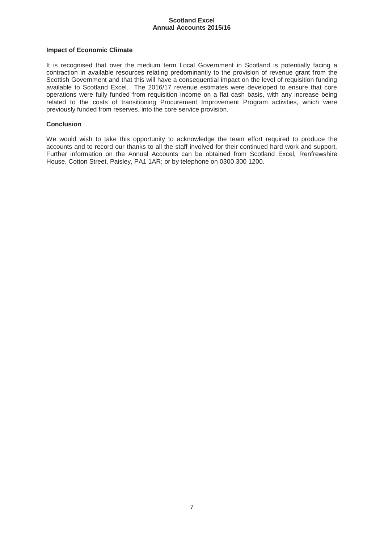## **Impact of Economic Climate**

It is recognised that over the medium term Local Government in Scotland is potentially facing a contraction in available resources relating predominantly to the provision of revenue grant from the Scottish Government and that this will have a consequential impact on the level of requisition funding available to Scotland Excel. The 2016/17 revenue estimates were developed to ensure that core operations were fully funded from requisition income on a flat cash basis, with any increase being related to the costs of transitioning Procurement Improvement Program activities, which were previously funded from reserves, into the core service provision.

# **Conclusion**

We would wish to take this opportunity to acknowledge the team effort required to produce the accounts and to record our thanks to all the staff involved for their continued hard work and support. Further information on the Annual Accounts can be obtained from Scotland Excel, Renfrewshire House, Cotton Street, Paisley, PA1 1AR; or by telephone on 0300 300 1200.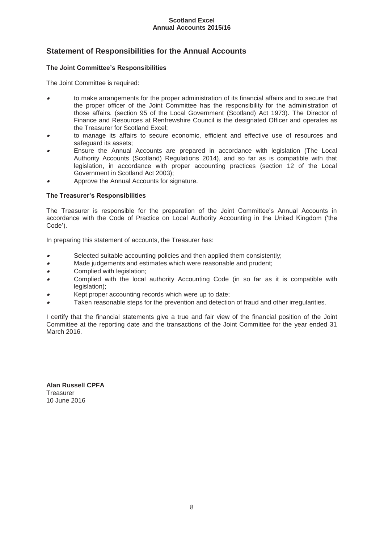# **Statement of Responsibilities for the Annual Accounts**

# **The Joint Committee's Responsibilities**

The Joint Committee is required:

- 0 to make arrangements for the proper administration of its financial affairs and to secure that the proper officer of the Joint Committee has the responsibility for the administration of those affairs. (section 95 of the Local Government (Scotland) Act 1973). The Director of Finance and Resources at Renfrewshire Council is the designated Officer and operates as the Treasurer for Scotland Excel;
- 0 to manage its affairs to secure economic, efficient and effective use of resources and safeguard its assets;
- 0 Ensure the Annual Accounts are prepared in accordance with legislation (The Local Authority Accounts (Scotland) Regulations 2014), and so far as is compatible with that legislation, in accordance with proper accounting practices (section 12 of the Local Government in Scotland Act 2003);
- 0 Approve the Annual Accounts for signature.

# **The Treasurer's Responsibilities**

The Treasurer is responsible for the preparation of the Joint Committee's Annual Accounts in accordance with the Code of Practice on Local Authority Accounting in the United Kingdom ('the Code').

In preparing this statement of accounts, the Treasurer has:

- 0 Selected suitable accounting policies and then applied them consistently;
- $\bullet$ Made judgements and estimates which were reasonable and prudent;
- 0 Complied with legislation;
- 0 Complied with the local authority Accounting Code (in so far as it is compatible with legislation);
- 0 Kept proper accounting records which were up to date;
- 0 Taken reasonable steps for the prevention and detection of fraud and other irregularities.

I certify that the financial statements give a true and fair view of the financial position of the Joint Committee at the reporting date and the transactions of the Joint Committee for the year ended 31 March 2016.

**Alan Russell CPFA**  Treasurer 10 June 2016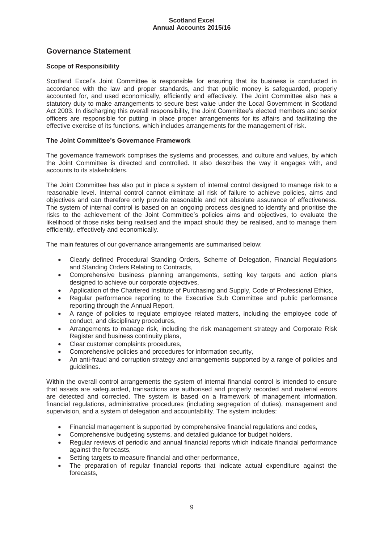# **Governance Statement**

# **Scope of Responsibility**

Scotland Excel's Joint Committee is responsible for ensuring that its business is conducted in accordance with the law and proper standards, and that public money is safeguarded, properly accounted for, and used economically, efficiently and effectively. The Joint Committee also has a statutory duty to make arrangements to secure best value under the Local Government in Scotland Act 2003. In discharging this overall responsibility, the Joint Committee's elected members and senior officers are responsible for putting in place proper arrangements for its affairs and facilitating the effective exercise of its functions, which includes arrangements for the management of risk.

# **The Joint Committee's Governance Framework**

The governance framework comprises the systems and processes, and culture and values, by which the Joint Committee is directed and controlled. It also describes the way it engages with, and accounts to its stakeholders.

The Joint Committee has also put in place a system of internal control designed to manage risk to a reasonable level. Internal control cannot eliminate all risk of failure to achieve policies, aims and objectives and can therefore only provide reasonable and not absolute assurance of effectiveness. The system of internal control is based on an ongoing process designed to identify and prioritise the risks to the achievement of the Joint Committee's policies aims and objectives, to evaluate the likelihood of those risks being realised and the impact should they be realised, and to manage them efficiently, effectively and economically.

The main features of our governance arrangements are summarised below:

- x Clearly defined Procedural Standing Orders, Scheme of Delegation, Financial Regulations and Standing Orders Relating to Contracts,
- Comprehensive business planning arrangements, setting key targets and action plans designed to achieve our corporate objectives,
- Application of the Chartered Institute of Purchasing and Supply, Code of Professional Ethics,
- Regular performance reporting to the Executive Sub Committee and public performance reporting through the Annual Report,
- A range of policies to regulate employee related matters, including the employee code of conduct, and disciplinary procedures,
- Arrangements to manage risk, including the risk management strategy and Corporate Risk Register and business continuity plans,
- Clear customer complaints procedures.
- Comprehensive policies and procedures for information security,
- An anti-fraud and corruption strategy and arrangements supported by a range of policies and guidelines.

Within the overall control arrangements the system of internal financial control is intended to ensure that assets are safeguarded, transactions are authorised and properly recorded and material errors are detected and corrected. The system is based on a framework of management information, financial regulations, administrative procedures (including segregation of duties), management and supervision, and a system of delegation and accountability. The system includes:

- Financial management is supported by comprehensive financial regulations and codes,
- Comprehensive budgeting systems, and detailed guidance for budget holders,
- Regular reviews of periodic and annual financial reports which indicate financial performance against the forecasts,
- Setting targets to measure financial and other performance,
- The preparation of regular financial reports that indicate actual expenditure against the forecasts,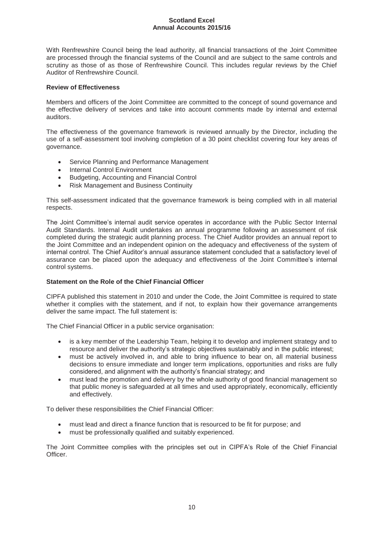With Renfrewshire Council being the lead authority, all financial transactions of the Joint Committee are processed through the financial systems of the Council and are subject to the same controls and scrutiny as those of as those of Renfrewshire Council. This includes regular reviews by the Chief Auditor of Renfrewshire Council.

# **Review of Effectiveness**

Members and officers of the Joint Committee are committed to the concept of sound governance and the effective delivery of services and take into account comments made by internal and external auditors.

The effectiveness of the governance framework is reviewed annually by the Director, including the use of a self-assessment tool involving completion of a 30 point checklist covering four key areas of governance.

- Service Planning and Performance Management
- Internal Control Environment
- Budgeting, Accounting and Financial Control
- Risk Management and Business Continuity

This self-assessment indicated that the governance framework is being complied with in all material respects.

The Joint Committee's internal audit service operates in accordance with the Public Sector Internal Audit Standards. Internal Audit undertakes an annual programme following an assessment of risk completed during the strategic audit planning process. The Chief Auditor provides an annual report to the Joint Committee and an independent opinion on the adequacy and effectiveness of the system of internal control. The Chief Auditor's annual assurance statement concluded that a satisfactory level of assurance can be placed upon the adequacy and effectiveness of the Joint Committee's internal control systems.

# **Statement on the Role of the Chief Financial Officer**

CIPFA published this statement in 2010 and under the Code, the Joint Committee is required to state whether it complies with the statement, and if not, to explain how their governance arrangements deliver the same impact. The full statement is:

The Chief Financial Officer in a public service organisation:

- is a key member of the Leadership Team, helping it to develop and implement strategy and to resource and deliver the authority's strategic objectives sustainably and in the public interest;
- must be actively involved in, and able to bring influence to bear on, all material business decisions to ensure immediate and longer term implications, opportunities and risks are fully considered, and alignment with the authority's financial strategy; and
- must lead the promotion and delivery by the whole authority of good financial management so that public money is safeguarded at all times and used appropriately, economically, efficiently and effectively.

To deliver these responsibilities the Chief Financial Officer:

- must lead and direct a finance function that is resourced to be fit for purpose; and
- must be professionally qualified and suitably experienced.

The Joint Committee complies with the principles set out in CIPFA's Role of the Chief Financial Officer.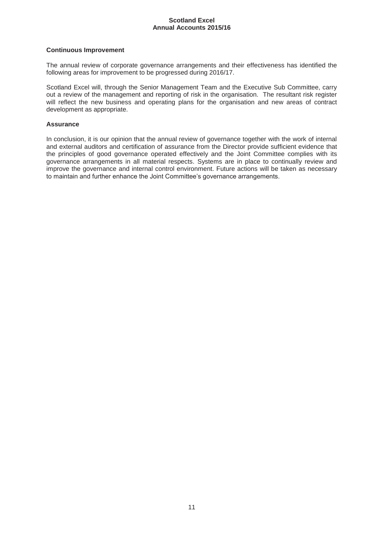# **Continuous Improvement**

The annual review of corporate governance arrangements and their effectiveness has identified the following areas for improvement to be progressed during 2016/17.

Scotland Excel will, through the Senior Management Team and the Executive Sub Committee, carry out a review of the management and reporting of risk in the organisation. The resultant risk register will reflect the new business and operating plans for the organisation and new areas of contract development as appropriate.

# **Assurance**

In conclusion, it is our opinion that the annual review of governance together with the work of internal and external auditors and certification of assurance from the Director provide sufficient evidence that the principles of good governance operated effectively and the Joint Committee complies with its governance arrangements in all material respects. Systems are in place to continually review and improve the governance and internal control environment. Future actions will be taken as necessary to maintain and further enhance the Joint Committee's governance arrangements.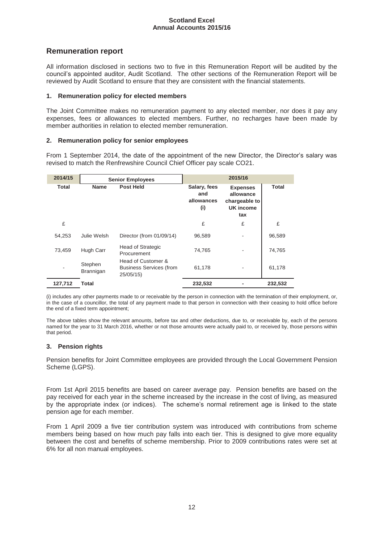# **Remuneration report**

All information disclosed in sections two to five in this Remuneration Report will be audited by the council's appointed auditor, Audit Scotland. The other sections of the Remuneration Report will be reviewed by Audit Scotland to ensure that they are consistent with the financial statements.

# **1. Remuneration policy for elected members**

The Joint Committee makes no remuneration payment to any elected member, nor does it pay any expenses, fees or allowances to elected members. Further, no recharges have been made by member authorities in relation to elected member remuneration.

# **2. Remuneration policy for senior employees**

From 1 September 2014, the date of the appointment of the new Director, the Director's salary was revised to match the Renfrewshire Council Chief Officer pay scale CO21.

| 2014/15      |                      | <b>Senior Employees</b>                                          | 2015/16                                  |                                                                   |              |
|--------------|----------------------|------------------------------------------------------------------|------------------------------------------|-------------------------------------------------------------------|--------------|
| <b>Total</b> | <b>Name</b>          | <b>Post Held</b>                                                 | Salary, fees<br>and<br>allowances<br>(i) | <b>Expenses</b><br>allowance<br>chargeable to<br>UK income<br>tax | <b>Total</b> |
| £            |                      |                                                                  | £                                        | £                                                                 | £            |
| 54,253       | Julie Welsh          | Director (from 01/09/14)                                         | 96,589                                   |                                                                   | 96,589       |
| 73.459       | Hugh Carr            | <b>Head of Strategic</b><br>Procurement                          | 74,765                                   |                                                                   | 74,765       |
|              | Stephen<br>Brannigan | Head of Customer &<br><b>Business Services (from</b><br>25/05/15 | 61,178                                   |                                                                   | 61,178       |
| 127,712      | <b>Total</b>         |                                                                  | 232,532                                  |                                                                   | 232,532      |

(i) includes any other payments made to or receivable by the person in connection with the termination of their employment, or, in the case of a councillor, the total of any payment made to that person in connection with their ceasing to hold office before the end of a fixed term appointment;

The above tables show the relevant amounts, before tax and other deductions, due to, or receivable by, each of the persons named for the year to 31 March 2016, whether or not those amounts were actually paid to, or received by, those persons within that period.

# **3. Pension rights**

Pension benefits for Joint Committee employees are provided through the Local Government Pension Scheme (LGPS).

From 1st April 2015 benefits are based on career average pay. Pension benefits are based on the pay received for each year in the scheme increased by the increase in the cost of living, as measured by the appropriate index (or indices). The scheme's normal retirement age is linked to the state pension age for each member.

From 1 April 2009 a five tier contribution system was introduced with contributions from scheme members being based on how much pay falls into each tier. This is designed to give more equality between the cost and benefits of scheme membership. Prior to 2009 contributions rates were set at 6% for all non manual employees.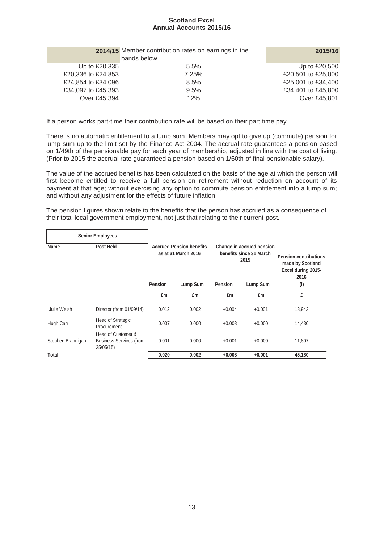|                    | 2014/15 Member contribution rates on earnings in the<br>bands below | 2015/16            |
|--------------------|---------------------------------------------------------------------|--------------------|
| Up to £20,335      | 5.5%                                                                | Up to £20,500      |
| £20,336 to £24,853 | 7.25%                                                               | £20,501 to £25,000 |
| £24,854 to £34,096 | 8.5%                                                                | £25,001 to £34,400 |
| £34,097 to £45,393 | 9.5%                                                                | £34,401 to £45,800 |
| Over £45,394       | 12%                                                                 | Over £45,801       |

If a person works part-time their contribution rate will be based on their part time pay.

There is no automatic entitlement to a lump sum. Members may opt to give up (commute) pension for lump sum up to the limit set by the Finance Act 2004. The accrual rate guarantees a pension based on 1/49th of the pensionable pay for each year of membership, adjusted in line with the cost of living. (Prior to 2015 the accrual rate guaranteed a pension based on 1/60th of final pensionable salary).

The value of the accrued benefits has been calculated on the basis of the age at which the person will first become entitled to receive a full pension on retirement without reduction on account of its payment at that age; without exercising any option to commute pension entitlement into a lump sum; and without any adjustment for the effects of future inflation.

The pension figures shown relate to the benefits that the person has accrued as a consequence of their total local government employment, not just that relating to their current post**.**

|                   | <b>Senior Employees</b>                    |                                                        |          |                                                              |          |                                                                                |
|-------------------|--------------------------------------------|--------------------------------------------------------|----------|--------------------------------------------------------------|----------|--------------------------------------------------------------------------------|
| Name              | <b>Post Held</b>                           | <b>Accrued Pension benefits</b><br>as at 31 March 2016 |          | Change in accrued pension<br>benefits since 31 March<br>2015 |          | <b>Pension contributions</b><br>made by Scotland<br>Excel during 2015-<br>2016 |
|                   |                                            | <b>Pension</b>                                         | Lump Sum | <b>Pension</b>                                               | Lump Sum | (i)                                                                            |
|                   |                                            | £m                                                     | £m       | £m                                                           | £m       | £                                                                              |
| Julie Welsh       | Director (from 01/09/14)                   | 0.012                                                  | 0.002    | $+0.004$                                                     | $+0.001$ | 18,943                                                                         |
| Hugh Carr         | Head of Strategic<br>Procurement           | 0.007                                                  | 0.000    | $+0.003$                                                     | $+0.000$ | 14,430                                                                         |
|                   | Head of Customer &                         |                                                        |          |                                                              |          |                                                                                |
| Stephen Brannigan | <b>Business Services (from</b><br>25/05/15 | 0.001                                                  | 0.000    | $+0.001$                                                     | $+0.000$ | 11,807                                                                         |
| Total             |                                            | 0.020                                                  | 0.002    | $+0.008$                                                     | $+0.001$ | 45,180                                                                         |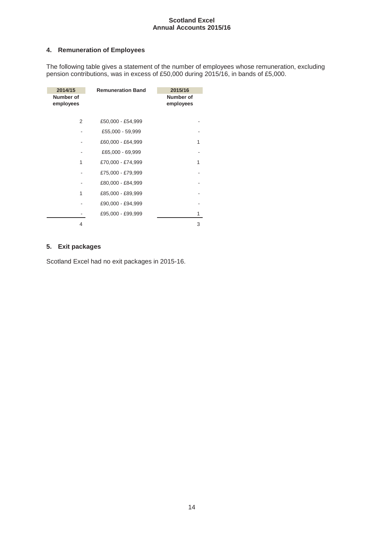# **4. Remuneration of Employees**

The following table gives a statement of the number of employees whose remuneration, excluding pension contributions, was in excess of £50,000 during 2015/16, in bands of £5,000.

| 2014/15                | <b>Remuneration Band</b> | 2015/16                |
|------------------------|--------------------------|------------------------|
| Number of<br>employees |                          | Number of<br>employees |
| 2                      | £50,000 - £54,999        |                        |
|                        | £55,000 - 59,999         |                        |
|                        | £60,000 - £64,999        | 1                      |
|                        | £65,000 - 69,999         |                        |
| 1                      | £70,000 - £74,999        |                        |
|                        | £75,000 - £79,999        |                        |
|                        | £80,000 - £84,999        |                        |
| 1                      | £85,000 - £89,999        |                        |
|                        | £90,000 - £94,999        |                        |
|                        | £95,000 - £99,999        |                        |
| 4                      |                          | 3                      |

# **5. Exit packages**

Scotland Excel had no exit packages in 2015-16.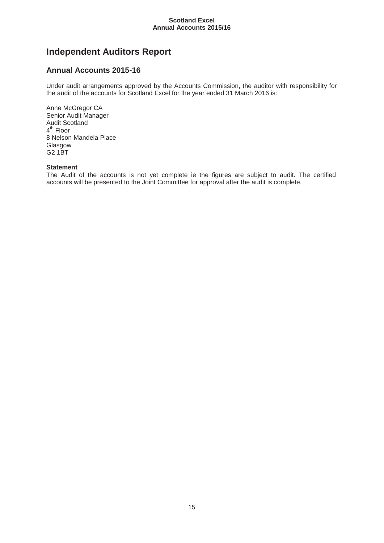# **Independent Auditors Report**

# **Annual Accounts 2015-16**

Under audit arrangements approved by the Accounts Commission, the auditor with responsibility for the audit of the accounts for Scotland Excel for the year ended 31 March 2016 is:

Anne McGregor CA Senior Audit Manager Audit Scotland 4<sup>th</sup> Floor 8 Nelson Mandela Place Glasgow G2 1BT

# **Statement**

The Audit of the accounts is not yet complete ie the figures are subject to audit. The certified accounts will be presented to the Joint Committee for approval after the audit is complete.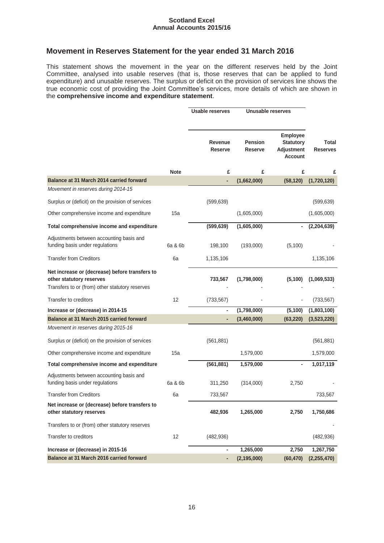# **Movement in Reserves Statement for the year ended 31 March 2016**

This statement shows the movement in the year on the different reserves held by the Joint Committee, analysed into usable reserves (that is, those reserves that can be applied to fund expenditure) and unusable reserves. The surplus or deficit on the provision of services line shows the true economic cost of providing the Joint Committee's services, more details of which are shown in the **comprehensive income and expenditure statement**.

|                                                                             |             | <b>Usable reserves</b>    | Unusable reserves                |                                                                     |                                 |
|-----------------------------------------------------------------------------|-------------|---------------------------|----------------------------------|---------------------------------------------------------------------|---------------------------------|
|                                                                             |             | Revenue<br><b>Reserve</b> | <b>Pension</b><br><b>Reserve</b> | <b>Employee</b><br><b>Statutory</b><br>Adjustment<br><b>Account</b> | <b>Total</b><br><b>Reserves</b> |
|                                                                             | <b>Note</b> | £                         | £                                | £                                                                   | £                               |
| Balance at 31 March 2014 carried forward                                    |             | ä,                        | (1,662,000)                      | (58, 120)                                                           | (1,720,120)                     |
| Movement in reserves during 2014-15                                         |             |                           |                                  |                                                                     |                                 |
| Surplus or (deficit) on the provision of services                           |             | (599, 639)                |                                  |                                                                     | (599, 639)                      |
| Other comprehensive income and expenditure                                  | 15a         |                           | (1,605,000)                      |                                                                     | (1,605,000)                     |
| Total comprehensive income and expenditure                                  |             | (599, 639)                | (1,605,000)                      | $\blacksquare$                                                      | (2,204,639)                     |
| Adjustments between accounting basis and<br>funding basis under regulations | 6a & 6b     | 198,100                   | (193,000)                        | (5, 100)                                                            |                                 |
| <b>Transfer from Creditors</b>                                              | 6a          | 1,135,106                 |                                  |                                                                     | 1,135,106                       |
| Net increase or (decrease) before transfers to<br>other statutory reserves  |             | 733,567                   | (1,798,000)                      | (5, 100)                                                            | (1,069,533)                     |
| Transfers to or (from) other statutory reserves                             |             |                           |                                  |                                                                     |                                 |
| Transfer to creditors                                                       | 12          | (733, 567)                |                                  |                                                                     | (733, 567)                      |
| Increase or (decrease) in 2014-15                                           |             | ۰                         | (1,798,000)                      | (5, 100)                                                            | (1,803,100)                     |
| Balance at 31 March 2015 carried forward                                    |             | ٠                         | (3,460,000)                      | (63, 220)                                                           | (3,523,220)                     |
| Movement in reserves during 2015-16                                         |             |                           |                                  |                                                                     |                                 |
| Surplus or (deficit) on the provision of services                           |             | (561, 881)                |                                  |                                                                     | (561, 881)                      |
| Other comprehensive income and expenditure                                  | 15a         |                           | 1,579,000                        |                                                                     | 1,579,000                       |
| Total comprehensive income and expenditure                                  |             | (561, 881)                | 1,579,000                        |                                                                     | 1,017,119                       |
| Adjustments between accounting basis and<br>funding basis under regulations | 6a & 6b     | 311,250                   | (314,000)                        | 2,750                                                               |                                 |
| <b>Transfer from Creditors</b>                                              | 6a          | 733,567                   |                                  |                                                                     | 733,567                         |
| Net increase or (decrease) before transfers to<br>other statutory reserves  |             | 482,936                   | 1,265,000                        | 2,750                                                               | 1,750,686                       |
| Transfers to or (from) other statutory reserves                             |             |                           |                                  |                                                                     |                                 |
| Transfer to creditors                                                       | 12          | (482, 936)                |                                  |                                                                     | (482, 936)                      |
| Increase or (decrease) in 2015-16                                           |             | ۰                         | 1,265,000                        | 2,750                                                               | 1,267,750                       |
| Balance at 31 March 2016 carried forward                                    |             | ٠                         | (2, 195, 000)                    | (60, 470)                                                           | (2, 255, 470)                   |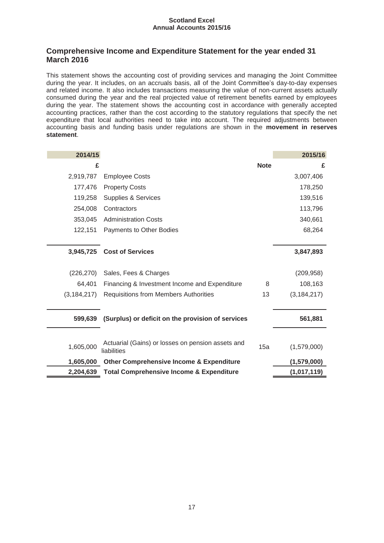# **Comprehensive Income and Expenditure Statement for the year ended 31 March 2016**

This statement shows the accounting cost of providing services and managing the Joint Committee during the year. It includes, on an accruals basis, all of the Joint Committee's day-to-day expenses and related income. It also includes transactions measuring the value of non-current assets actually consumed during the year and the real projected value of retirement benefits earned by employees during the year. The statement shows the accounting cost in accordance with generally accepted accounting practices, rather than the cost according to the statutory regulations that specify the net expenditure that local authorities need to take into account. The required adjustments between accounting basis and funding basis under regulations are shown in the **movement in reserves statement**.

| 2014/15       |                                                                  |             | 2015/16       |
|---------------|------------------------------------------------------------------|-------------|---------------|
| £             |                                                                  | <b>Note</b> | £             |
| 2,919,787     | <b>Employee Costs</b>                                            |             | 3,007,406     |
| 177,476       | <b>Property Costs</b>                                            |             | 178,250       |
| 119,258       | Supplies & Services                                              |             | 139,516       |
| 254,008       | Contractors                                                      |             | 113,796       |
| 353,045       | <b>Administration Costs</b>                                      |             | 340,661       |
| 122,151       | Payments to Other Bodies                                         |             | 68,264        |
|               |                                                                  |             |               |
| 3,945,725     | <b>Cost of Services</b>                                          |             | 3,847,893     |
| (226, 270)    | Sales, Fees & Charges                                            |             | (209, 958)    |
| 64,401        | Financing & Investment Income and Expenditure                    | 8           | 108,163       |
| (3, 184, 217) | <b>Requisitions from Members Authorities</b>                     | 13          | (3, 184, 217) |
|               |                                                                  |             |               |
| 599,639       | (Surplus) or deficit on the provision of services                |             | 561,881       |
|               |                                                                  |             |               |
| 1,605,000     | Actuarial (Gains) or losses on pension assets and<br>liabilities | 15a         | (1,579,000)   |
| 1,605,000     | <b>Other Comprehensive Income &amp; Expenditure</b>              |             | (1,579,000)   |
| 2,204,639     | <b>Total Comprehensive Income &amp; Expenditure</b>              |             | (1,017,119)   |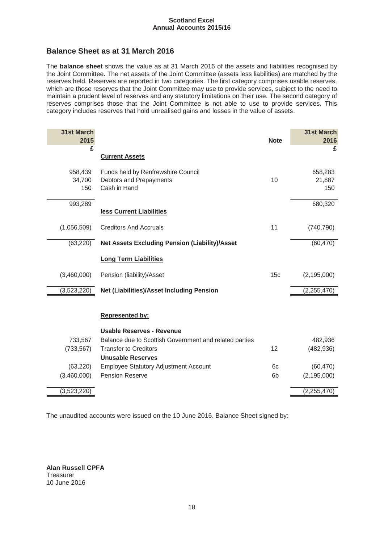# **Balance Sheet as at 31 March 2016**

The **balance sheet** shows the value as at 31 March 2016 of the assets and liabilities recognised by the Joint Committee. The net assets of the Joint Committee (assets less liabilities) are matched by the reserves held. Reserves are reported in two categories. The first category comprises usable reserves, which are those reserves that the Joint Committee may use to provide services, subject to the need to maintain a prudent level of reserves and any statutory limitations on their use. The second category of reserves comprises those that the Joint Committee is not able to use to provide services. This category includes reserves that hold unrealised gains and losses in the value of assets.

| <b>31st March</b><br>2015 |                                                                               | <b>Note</b>     | <b>31st March</b><br>2016 |
|---------------------------|-------------------------------------------------------------------------------|-----------------|---------------------------|
| £                         |                                                                               |                 | £                         |
|                           | <b>Current Assets</b>                                                         |                 |                           |
| 958,439<br>34,700<br>150  | Funds held by Renfrewshire Council<br>Debtors and Prepayments<br>Cash in Hand | 10              | 658,283<br>21,887<br>150  |
| 993,289                   |                                                                               |                 | 680,320                   |
|                           | less Current Liabilities                                                      |                 |                           |
| (1,056,509)               | <b>Creditors And Accruals</b>                                                 | 11              | (740, 790)                |
| (63, 220)                 | <b>Net Assets Excluding Pension (Liability)/Asset</b>                         |                 | (60, 470)                 |
|                           | <b>Long Term Liabilities</b>                                                  |                 |                           |
| (3,460,000)               | Pension (liability)/Asset                                                     | 15 <sub>c</sub> | (2, 195, 000)             |
| (3,523,220)               | <b>Net (Liabilities)/Asset Including Pension</b>                              |                 | (2, 255, 470)             |
|                           | <b>Represented by:</b>                                                        |                 |                           |
|                           | <b>Usable Reserves - Revenue</b>                                              |                 |                           |
| 733,567                   | Balance due to Scottish Government and related parties                        |                 | 482,936                   |
| (733, 567)                | <b>Transfer to Creditors</b>                                                  | 12              | (482, 936)                |
|                           | <b>Unusable Reserves</b>                                                      |                 |                           |
| (63, 220)                 | <b>Employee Statutory Adjustment Account</b>                                  | 6c              | (60, 470)                 |
| (3,460,000)               | <b>Pension Reserve</b>                                                        | 6b              | (2, 195, 000)             |
| (3,523,220)               |                                                                               |                 | (2, 255, 470)             |

The unaudited accounts were issued on the 10 June 2016. Balance Sheet signed by:

**Alan Russell CPFA Treasurer** 10 June 2016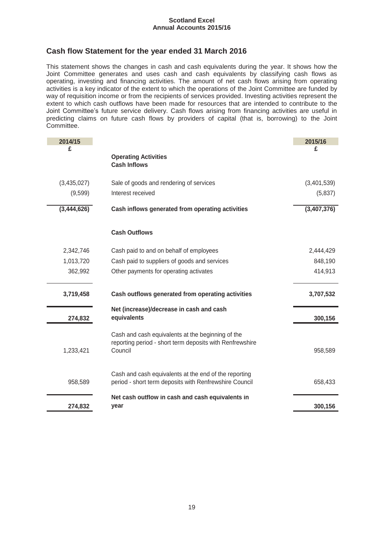# **Cash flow Statement for the year ended 31 March 2016**

This statement shows the changes in cash and cash equivalents during the year. It shows how the Joint Committee generates and uses cash and cash equivalents by classifying cash flows as operating, investing and financing activities. The amount of net cash flows arising from operating activities is a key indicator of the extent to which the operations of the Joint Committee are funded by way of requisition income or from the recipients of services provided. Investing activities represent the extent to which cash outflows have been made for resources that are intended to contribute to the Joint Committee's future service delivery. Cash flows arising from financing activities are useful in predicting claims on future cash flows by providers of capital (that is, borrowing) to the Joint Committee.

| 2014/15     |                                                                     | 2015/16     |
|-------------|---------------------------------------------------------------------|-------------|
| £           |                                                                     | £           |
|             | <b>Operating Activities</b><br><b>Cash Inflows</b>                  |             |
|             |                                                                     |             |
| (3,435,027) | Sale of goods and rendering of services                             | (3,401,539) |
| (9,599)     | Interest received                                                   | (5,837)     |
| (3,444,626) | Cash inflows generated from operating activities                    | (3,407,376) |
|             | <b>Cash Outflows</b>                                                |             |
| 2,342,746   | Cash paid to and on behalf of employees                             | 2,444,429   |
| 1,013,720   | Cash paid to suppliers of goods and services                        | 848,190     |
| 362,992     | Other payments for operating activates                              | 414,913     |
| 3,719,458   | Cash outflows generated from operating activities                   | 3,707,532   |
|             | Net (increase)/decrease in cash and cash                            |             |
| 274,832     | equivalents                                                         | 300,156     |
|             | Cash and cash equivalents at the beginning of the                   |             |
| 1,233,421   | reporting period - short term deposits with Renfrewshire<br>Council | 958,589     |
|             |                                                                     |             |
|             | Cash and cash equivalents at the end of the reporting               |             |
| 958,589     | period - short term deposits with Renfrewshire Council              | 658,433     |
|             | Net cash outflow in cash and cash equivalents in                    |             |
| 274,832     | year                                                                | 300,156     |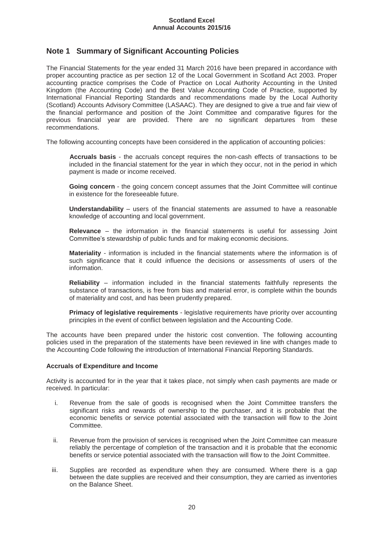# **Note 1 Summary of Significant Accounting Policies**

The Financial Statements for the year ended 31 March 2016 have been prepared in accordance with proper accounting practice as per section 12 of the Local Government in Scotland Act 2003. Proper accounting practice comprises the Code of Practice on Local Authority Accounting in the United Kingdom (the Accounting Code) and the Best Value Accounting Code of Practice, supported by International Financial Reporting Standards and recommendations made by the Local Authority (Scotland) Accounts Advisory Committee (LASAAC). They are designed to give a true and fair view of the financial performance and position of the Joint Committee and comparative figures for the previous financial year are provided. There are no significant departures from these recommendations.

The following accounting concepts have been considered in the application of accounting policies:

**Accruals basis** - the accruals concept requires the non-cash effects of transactions to be included in the financial statement for the year in which they occur, not in the period in which payment is made or income received.

**Going concern** - the going concern concept assumes that the Joint Committee will continue in existence for the foreseeable future.

**Understandability** – users of the financial statements are assumed to have a reasonable knowledge of accounting and local government.

**Relevance** – the information in the financial statements is useful for assessing Joint Committee's stewardship of public funds and for making economic decisions.

**Materiality** - information is included in the financial statements where the information is of such significance that it could influence the decisions or assessments of users of the information.

**Reliability** – information included in the financial statements faithfully represents the substance of transactions, is free from bias and material error, is complete within the bounds of materiality and cost, and has been prudently prepared.

**Primacy of legislative requirements** - legislative requirements have priority over accounting principles in the event of conflict between legislation and the Accounting Code.

The accounts have been prepared under the historic cost convention. The following accounting policies used in the preparation of the statements have been reviewed in line with changes made to the Accounting Code following the introduction of International Financial Reporting Standards.

# **Accruals of Expenditure and Income**

Activity is accounted for in the year that it takes place, not simply when cash payments are made or received. In particular:

- i. Revenue from the sale of goods is recognised when the Joint Committee transfers the significant risks and rewards of ownership to the purchaser, and it is probable that the economic benefits or service potential associated with the transaction will flow to the Joint Committee.
- ii. Revenue from the provision of services is recognised when the Joint Committee can measure reliably the percentage of completion of the transaction and it is probable that the economic benefits or service potential associated with the transaction will flow to the Joint Committee.
- iii. Supplies are recorded as expenditure when they are consumed. Where there is a gap between the date supplies are received and their consumption, they are carried as inventories on the Balance Sheet.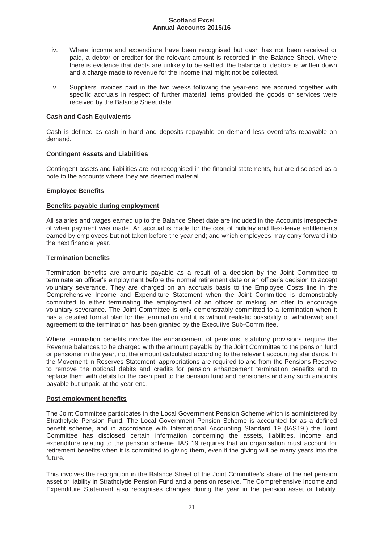- iv. Where income and expenditure have been recognised but cash has not been received or paid, a debtor or creditor for the relevant amount is recorded in the Balance Sheet. Where there is evidence that debts are unlikely to be settled, the balance of debtors is written down and a charge made to revenue for the income that might not be collected.
- v. Suppliers invoices paid in the two weeks following the year-end are accrued together with specific accruals in respect of further material items provided the goods or services were received by the Balance Sheet date.

# **Cash and Cash Equivalents**

Cash is defined as cash in hand and deposits repayable on demand less overdrafts repayable on demand.

# **Contingent Assets and Liabilities**

Contingent assets and liabilities are not recognised in the financial statements, but are disclosed as a note to the accounts where they are deemed material.

# **Employee Benefits**

# **Benefits payable during employment**

All salaries and wages earned up to the Balance Sheet date are included in the Accounts irrespective of when payment was made. An accrual is made for the cost of holiday and flexi-leave entitlements earned by employees but not taken before the year end; and which employees may carry forward into the next financial year.

# **Termination benefits**

Termination benefits are amounts payable as a result of a decision by the Joint Committee to terminate an officer's employment before the normal retirement date or an officer's decision to accept voluntary severance. They are charged on an accruals basis to the Employee Costs line in the Comprehensive Income and Expenditure Statement when the Joint Committee is demonstrably committed to either terminating the employment of an officer or making an offer to encourage voluntary severance. The Joint Committee is only demonstrably committed to a termination when it has a detailed formal plan for the termination and it is without realistic possibility of withdrawal; and agreement to the termination has been granted by the Executive Sub-Committee.

Where termination benefits involve the enhancement of pensions, statutory provisions require the Revenue balances to be charged with the amount payable by the Joint Committee to the pension fund or pensioner in the year, not the amount calculated according to the relevant accounting standards. In the Movement in Reserves Statement, appropriations are required to and from the Pensions Reserve to remove the notional debits and credits for pension enhancement termination benefits and to replace them with debits for the cash paid to the pension fund and pensioners and any such amounts payable but unpaid at the year-end.

# **Post employment benefits**

The Joint Committee participates in the Local Government Pension Scheme which is administered by Strathclyde Pension Fund. The Local Government Pension Scheme is accounted for as a defined benefit scheme, and in accordance with International Accounting Standard 19 (IAS19,) the Joint Committee has disclosed certain information concerning the assets, liabilities, income and expenditure relating to the pension scheme. IAS 19 requires that an organisation must account for retirement benefits when it is committed to giving them, even if the giving will be many years into the future.

This involves the recognition in the Balance Sheet of the Joint Committee's share of the net pension asset or liability in Strathclyde Pension Fund and a pension reserve. The Comprehensive Income and Expenditure Statement also recognises changes during the year in the pension asset or liability.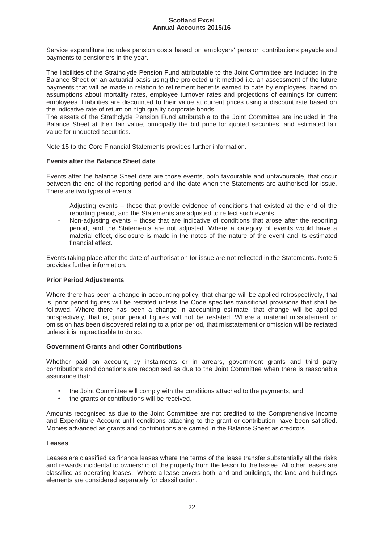Service expenditure includes pension costs based on employers' pension contributions payable and payments to pensioners in the year.

The liabilities of the Strathclyde Pension Fund attributable to the Joint Committee are included in the Balance Sheet on an actuarial basis using the projected unit method i.e. an assessment of the future payments that will be made in relation to retirement benefits earned to date by employees, based on assumptions about mortality rates, employee turnover rates and projections of earnings for current employees. Liabilities are discounted to their value at current prices using a discount rate based on the indicative rate of return on high quality corporate bonds.

The assets of the Strathclyde Pension Fund attributable to the Joint Committee are included in the Balance Sheet at their fair value, principally the bid price for quoted securities, and estimated fair value for unquoted securities.

Note 15 to the Core Financial Statements provides further information.

# **Events after the Balance Sheet date**

Events after the balance Sheet date are those events, both favourable and unfavourable, that occur between the end of the reporting period and the date when the Statements are authorised for issue. There are two types of events:

- Adjusting events those that provide evidence of conditions that existed at the end of the reporting period, and the Statements are adjusted to reflect such events
- Non-adjusting events those that are indicative of conditions that arose after the reporting period, and the Statements are not adjusted. Where a category of events would have a material effect, disclosure is made in the notes of the nature of the event and its estimated financial effect.

Events taking place after the date of authorisation for issue are not reflected in the Statements. Note 5 provides further information.

# **Prior Period Adjustments**

Where there has been a change in accounting policy, that change will be applied retrospectively, that is, prior period figures will be restated unless the Code specifies transitional provisions that shall be followed. Where there has been a change in accounting estimate, that change will be applied prospectively, that is, prior period figures will not be restated. Where a material misstatement or omission has been discovered relating to a prior period, that misstatement or omission will be restated unless it is impracticable to do so.

#### **Government Grants and other Contributions**

Whether paid on account, by instalments or in arrears, government grants and third party contributions and donations are recognised as due to the Joint Committee when there is reasonable assurance that:

- the Joint Committee will comply with the conditions attached to the payments, and
- the grants or contributions will be received.

Amounts recognised as due to the Joint Committee are not credited to the Comprehensive Income and Expenditure Account until conditions attaching to the grant or contribution have been satisfied. Monies advanced as grants and contributions are carried in the Balance Sheet as creditors.

#### **Leases**

Leases are classified as finance leases where the terms of the lease transfer substantially all the risks and rewards incidental to ownership of the property from the lessor to the lessee. All other leases are classified as operating leases. Where a lease covers both land and buildings, the land and buildings elements are considered separately for classification.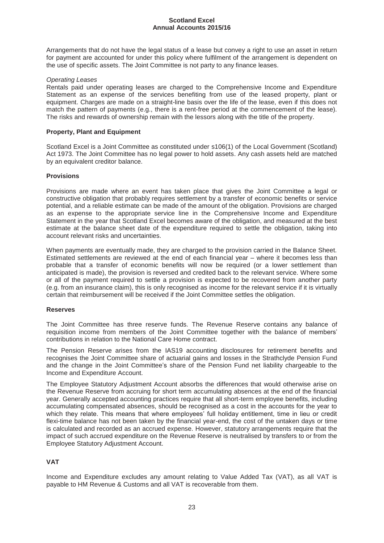Arrangements that do not have the legal status of a lease but convey a right to use an asset in return for payment are accounted for under this policy where fulfilment of the arrangement is dependent on the use of specific assets. The Joint Committee is not party to any finance leases.

## *Operating Leases*

Rentals paid under operating leases are charged to the Comprehensive Income and Expenditure Statement as an expense of the services benefiting from use of the leased property, plant or equipment. Charges are made on a straight-line basis over the life of the lease, even if this does not match the pattern of payments (e.g., there is a rent-free period at the commencement of the lease). The risks and rewards of ownership remain with the lessors along with the title of the property.

# **Property, Plant and Equipment**

Scotland Excel is a Joint Committee as constituted under s106(1) of the Local Government (Scotland) Act 1973. The Joint Committee has no legal power to hold assets. Any cash assets held are matched by an equivalent creditor balance.

# **Provisions**

Provisions are made where an event has taken place that gives the Joint Committee a legal or constructive obligation that probably requires settlement by a transfer of economic benefits or service potential, and a reliable estimate can be made of the amount of the obligation. Provisions are charged as an expense to the appropriate service line in the Comprehensive Income and Expenditure Statement in the year that Scotland Excel becomes aware of the obligation, and measured at the best estimate at the balance sheet date of the expenditure required to settle the obligation, taking into account relevant risks and uncertainties.

When payments are eventually made, they are charged to the provision carried in the Balance Sheet. Estimated settlements are reviewed at the end of each financial year – where it becomes less than probable that a transfer of economic benefits will now be required (or a lower settlement than anticipated is made), the provision is reversed and credited back to the relevant service. Where some or all of the payment required to settle a provision is expected to be recovered from another party (e.g. from an insurance claim), this is only recognised as income for the relevant service if it is virtually certain that reimbursement will be received if the Joint Committee settles the obligation.

#### **Reserves**

The Joint Committee has three reserve funds. The Revenue Reserve contains any balance of requisition income from members of the Joint Committee together with the balance of members' contributions in relation to the National Care Home contract.

The Pension Reserve arises from the IAS19 accounting disclosures for retirement benefits and recognises the Joint Committee share of actuarial gains and losses in the Strathclyde Pension Fund and the change in the Joint Committee's share of the Pension Fund net liability chargeable to the Income and Expenditure Account.

The Employee Statutory Adjustment Account absorbs the differences that would otherwise arise on the Revenue Reserve from accruing for short term accumulating absences at the end of the financial year. Generally accepted accounting practices require that all short-term employee benefits, including accumulating compensated absences, should be recognised as a cost in the accounts for the year to which they relate. This means that where employees' full holiday entitlement, time in lieu or credit flexi-time balance has not been taken by the financial year-end, the cost of the untaken days or time is calculated and recorded as an accrued expense. However, statutory arrangements require that the impact of such accrued expenditure on the Revenue Reserve is neutralised by transfers to or from the Employee Statutory Adjustment Account.

# **VAT**

Income and Expenditure excludes any amount relating to Value Added Tax (VAT), as all VAT is payable to HM Revenue & Customs and all VAT is recoverable from them.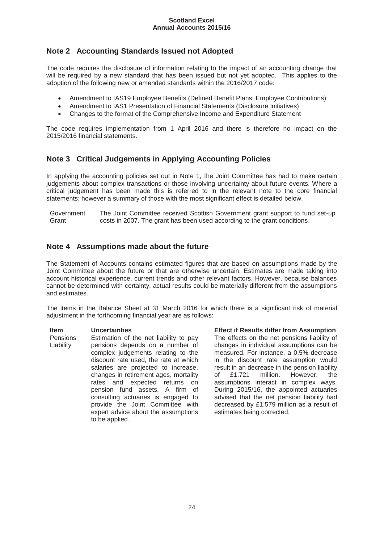# **Note 2 Accounting Standards Issued not Adopted**

The code requires the disclosure of information relating to the impact of an accounting change that will be required by a new standard that has been issued but not yet adopted. This applies to the adoption of the following new or amended standards within the 2016/2017 code:

- Amendment to IAS19 Employee Benefits (Defined Benefit Plans: Employee Contributions)
- Amendment to IAS1 Presentation of Financial Statements (Disclosure Initiatives)
- x Changes to the format of the Comprehensive Income and Expenditure Statement

The code requires implementation from 1 April 2016 and there is therefore no impact on the 2015/2016 financial statements.

# **Note 3 Critical Judgements in Applying Accounting Policies**

In applying the accounting policies set out in Note 1, the Joint Committee has had to make certain judgements about complex transactions or those involving uncertainty about future events. Where a critical judgement has been made this is referred to in the relevant note to the core financial statements; however a summary of those with the most significant effect is detailed below.

Government **Grant** The Joint Committee received Scottish Government grant support to fund set-up costs in 2007. The grant has been used according to the grant conditions.

# **Note 4 Assumptions made about the future**

The Statement of Accounts contains estimated figures that are based on assumptions made by the Joint Committee about the future or that are otherwise uncertain. Estimates are made taking into account historical experience, current trends and other relevant factors. However, because balances cannot be determined with certainty, actual results could be materially different from the assumptions and estimates.

The items in the Balance Sheet at 31 March 2016 for which there is a significant risk of material adjustment in the forthcoming financial year are as follows:

Pensions Liability Estimation of the net liability to pay pensions depends on a number of complex judgements relating to the discount rate used, the rate at which salaries are projected to increase, changes in retirement ages, mortality rates and expected returns on pension fund assets. A firm of consulting actuaries is engaged to provide the Joint Committee with expert advice about the assumptions to be applied.

**Item Uncertainties Effect if Results differ from Assumption**  The effects on the net pensions liability of changes in individual assumptions can be measured. For instance, a 0.5% decrease in the discount rate assumption would result in an decrease in the pension liability of £1.721 million. However, the assumptions interact in complex ways. During 2015/16, the appointed actuaries advised that the net pension liability had decreased by £1.579 million as a result of estimates being corrected.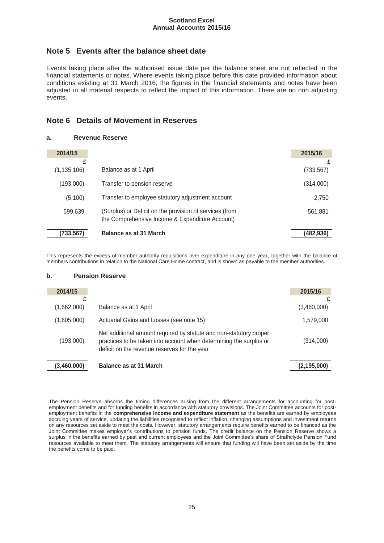# **Note 5 Events after the balance sheet date**

Events taking place after the authorised issue date per the balance sheet are not reflected in the financial statements or notes. Where events taking place before this date provided information about conditions existing at 31 March 2016, the figures in the financial statements and notes have been adjusted in all material respects to reflect the impact of this information. There are no non adjusting events.

# **Note 6 Details of Movement in Reserves**

# **a. Revenue Reserve**

| 2014/15            |                                                                                                            | 2015/16         |
|--------------------|------------------------------------------------------------------------------------------------------------|-----------------|
| £<br>(1, 135, 106) | Balance as at 1 April                                                                                      | £<br>(733, 567) |
| (193,000)          | Transfer to pension reserve                                                                                | (314,000)       |
| (5,100)            | Transfer to employee statutory adjustment account                                                          | 2,750           |
| 599,639            | (Surplus) or Deficit on the provision of services (from<br>the Comprehensive Income & Expenditure Account) | 561,881         |
| (733, 567)         | Balance as at 31 March                                                                                     | (482,936)       |

This represents the excess of member authority requisitions over expenditure in any one year, together with the balance of members contributions in relation to the National Care Home contract, and is shown as payable to the member authorities.

#### **b. Pension Reserve**

| 2014/15     |                                                                                                                                                                                          | 2015/16       |
|-------------|------------------------------------------------------------------------------------------------------------------------------------------------------------------------------------------|---------------|
| (1,662,000) | Balance as at 1 April                                                                                                                                                                    | (3,460,000)   |
| (1,605,000) | Actuarial Gains and Losses (see note 15)                                                                                                                                                 | 1,579,000     |
| (193,000)   | Net additional amount required by statute and non-statutory proper<br>practices to be taken into account when determining the surplus or<br>deficit on the revenue reserves for the year | (314,000)     |
| (3,460,000) | Balance as at 31 March                                                                                                                                                                   | (2, 195, 000) |

The Pension Reserve absorbs the timing differences arising from the different arrangements for accounting for postemployment benefits and for funding benefits in accordance with statutory provisions. The Joint Committee accounts for postemployment benefits in the **comprehensive income and expenditure statement** as the benefits are earned by employees accruing years of service, updating the liabilities recognised to reflect inflation, changing assumptions and investment returns on any resources set aside to meet the costs. However, statutory arrangements require benefits earned to be financed as the Joint Committee makes employer's contributions to pension funds. The credit balance on the Pension Reserve shows a surplus in the benefits earned by past and current employees and the Joint Committee's share of Strathclyde Pension Fund resources available to meet them. The statutory arrangements will ensure that funding will have been set aside by the time the benefits come to be paid.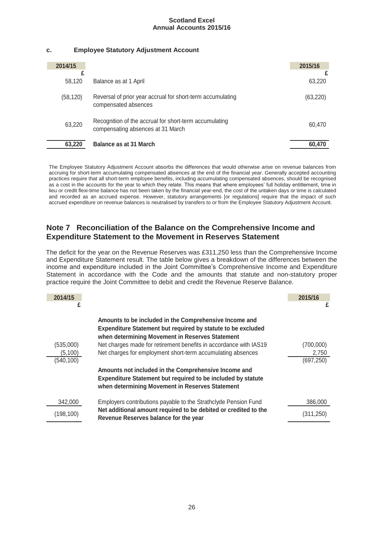# **c. Employee Statutory Adjustment Account**

| 2014/15   |                                                                                             | 2015/16   |
|-----------|---------------------------------------------------------------------------------------------|-----------|
| 58,120    | Balance as at 1 April                                                                       | 63.220    |
| (58, 120) | Reversal of prior year accrual for short-term accumulating<br>compensated absences          | (63, 220) |
| 63,220    | Recognition of the accrual for short-term accumulating<br>compensating absences at 31 March | 60,470    |
| 63,220    | <b>Balance as at 31 March</b>                                                               | 60.470    |

The Employee Statutory Adjustment Account absorbs the differences that would otherwise arise on revenue balances from accruing for short-term accumulating compensated absences at the end of the financial year. Generally accepted accounting practices require that all short-term employee benefits, including accumulating compensated absences, should be recognised as a cost in the accounts for the year to which they relate. This means that where employees' full holiday entitlement, time in lieu or credit flexi-time balance has not been taken by the financial year-end, the cost of the untaken days or time is calculated and recorded as an accrued expense. However, statutory arrangements [or regulations] require that the impact of such accrued expenditure on revenue balances is neutralised by transfers to or from the Employee Statutory Adjustment Account.

# **Note 7 Reconciliation of the Balance on the Comprehensive Income and Expenditure Statement to the Movement in Reserves Statement**

The deficit for the year on the Revenue Reserves was £311,250 less than the Comprehensive Income and Expenditure Statement result. The table below gives a breakdown of the differences between the income and expenditure included in the Joint Committee's Comprehensive Income and Expenditure Statement in accordance with the Code and the amounts that statute and non-statutory proper practice require the Joint Committee to debit and credit the Revenue Reserve Balance.

| 2014/15    |                                                                                                                                                                                | 2015/16    |
|------------|--------------------------------------------------------------------------------------------------------------------------------------------------------------------------------|------------|
| £          |                                                                                                                                                                                | £          |
|            | Amounts to be included in the Comprehensive Income and<br>Expenditure Statement but required by statute to be excluded<br>when determining Movement in Reserves Statement      |            |
| (535,000)  | Net charges made for retirement benefits in accordance with IAS19                                                                                                              | (700,000)  |
| (5,100)    | Net charges for employment short-term accumulating absences                                                                                                                    | 2,750      |
| (540,100)  |                                                                                                                                                                                | (697, 250) |
|            | Amounts not included in the Comprehensive Income and<br><b>Expenditure Statement but required to be included by statute</b><br>when determining Movement in Reserves Statement |            |
| 342,000    | Employers contributions payable to the Strathclyde Pension Fund                                                                                                                | 386,000    |
| (198, 100) | Net additional amount required to be debited or credited to the<br>Revenue Reserves balance for the year                                                                       | (311,250)  |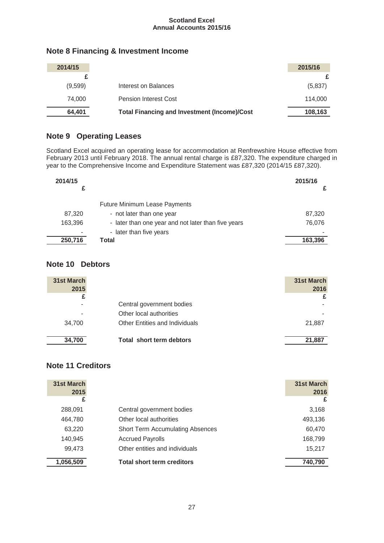| 2014/15 |                                                     | 2015/16 |
|---------|-----------------------------------------------------|---------|
|         |                                                     |         |
| (9,599) | Interest on Balances                                | (5,837) |
| 74.000  | <b>Pension Interest Cost</b>                        | 114,000 |
| 64,401  | <b>Total Financing and Investment (Income)/Cost</b> | 108,163 |

# **Note 8 Financing & Investment Income**

# **Note 9 Operating Leases**

Scotland Excel acquired an operating lease for accommodation at Renfrewshire House effective from February 2013 until February 2018. The annual rental charge is £87,320. The expenditure charged in year to the Comprehensive Income and Expenditure Statement was £87,320 (2014/15 £87,320).

| 2014/15 |                                                     | 2015/16 |
|---------|-----------------------------------------------------|---------|
|         | <b>Future Minimum Lease Payments</b>                |         |
| 87,320  | - not later than one year                           | 87,320  |
| 163,396 | - later than one year and not later than five years | 76,076  |
| ۰       | - later than five years                             |         |
| 250,716 | Total                                               | 163,396 |

# **Note 10 Debtors**

| <b>31st March</b><br>2015 |                                       | 31st March<br>2016 |
|---------------------------|---------------------------------------|--------------------|
| £                         |                                       | £                  |
|                           | Central government bodies             |                    |
|                           | Other local authorities               |                    |
| 34.700                    | <b>Other Entities and Individuals</b> | 21,887             |
| 34,700                    | Total short term debtors              | 21,887             |

# **Note 11 Creditors**

| 31st March<br>2015 |                                         | 31st March<br>2016 |
|--------------------|-----------------------------------------|--------------------|
| £                  |                                         | £                  |
| 288,091            | Central government bodies               | 3,168              |
| 464,780            | Other local authorities                 | 493,136            |
| 63,220             | <b>Short Term Accumulating Absences</b> | 60,470             |
| 140,945            | <b>Accrued Payrolls</b>                 | 168,799            |
| 99,473             | Other entities and individuals          | 15,217             |
| 1,056,509          | <b>Total short term creditors</b>       | 740,790            |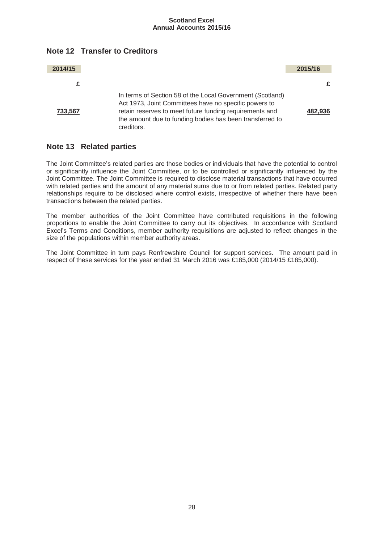

**Note 12 Transfer to Creditors** 

# **Note 13 Related parties**

The Joint Committee's related parties are those bodies or individuals that have the potential to control or significantly influence the Joint Committee, or to be controlled or significantly influenced by the Joint Committee. The Joint Committee is required to disclose material transactions that have occurred with related parties and the amount of any material sums due to or from related parties. Related party relationships require to be disclosed where control exists, irrespective of whether there have been transactions between the related parties.

The member authorities of the Joint Committee have contributed requisitions in the following proportions to enable the Joint Committee to carry out its objectives. In accordance with Scotland Excel's Terms and Conditions, member authority requisitions are adjusted to reflect changes in the size of the populations within member authority areas.

The Joint Committee in turn pays Renfrewshire Council for support services. The amount paid in respect of these services for the year ended 31 March 2016 was £185,000 (2014/15 £185,000).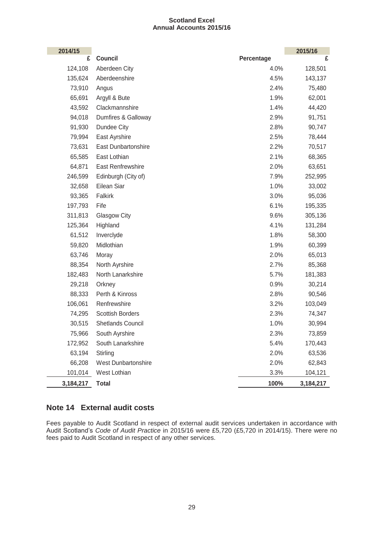| 2014/15   |                            |            | 2015/16   |
|-----------|----------------------------|------------|-----------|
| £         | Council                    | Percentage | £         |
| 124,108   | Aberdeen City              | 4.0%       | 128,501   |
| 135,624   | Aberdeenshire              | 4.5%       | 143,137   |
| 73,910    | Angus                      | 2.4%       | 75,480    |
| 65,691    | Argyll & Bute              | 1.9%       | 62,001    |
| 43,592    | Clackmannshire             | 1.4%       | 44,420    |
| 94,018    | Dumfires & Galloway        | 2.9%       | 91,751    |
| 91,930    | Dundee City                | 2.8%       | 90,747    |
| 79,994    | East Ayrshire              | 2.5%       | 78,444    |
| 73,631    | <b>East Dunbartonshire</b> | 2.2%       | 70,517    |
| 65,585    | East Lothian               | 2.1%       | 68,365    |
| 64,871    | East Renfrewshire          | 2.0%       | 63,651    |
| 246,599   | Edinburgh (City of)        | 7.9%       | 252,995   |
| 32,658    | Eilean Siar                | 1.0%       | 33,002    |
| 93,365    | Falkirk                    | 3.0%       | 95,036    |
| 197,793   | Fife                       | 6.1%       | 195,335   |
| 311,813   | Glasgow City               | 9.6%       | 305,136   |
| 125,364   | Highland                   | 4.1%       | 131,284   |
| 61,512    | Inverclyde                 | 1.8%       | 58,300    |
| 59,820    | Midlothian                 | 1.9%       | 60,399    |
| 63,746    | Moray                      | 2.0%       | 65,013    |
| 88,354    | North Ayrshire             | 2.7%       | 85,368    |
| 182,483   | North Lanarkshire          | 5.7%       | 181,383   |
| 29,218    | Orkney                     | 0.9%       | 30,214    |
| 88,333    | Perth & Kinross            | 2.8%       | 90,546    |
| 106,061   | Renfrewshire               | 3.2%       | 103,049   |
| 74,295    | <b>Scottish Borders</b>    | 2.3%       | 74,347    |
| 30,515    | Shetlands Council          | 1.0%       | 30,994    |
| 75,966    | South Ayrshire             | 2.3%       | 73,859    |
| 172,952   | South Lanarkshire          | 5.4%       | 170,443   |
| 63,194    | Stirling                   | 2.0%       | 63,536    |
| 66,208    | <b>West Dunbartonshire</b> | 2.0%       | 62,843    |
| 101,014   | West Lothian               | 3.3%       | 104,121   |
| 3,184,217 | <b>Total</b>               | 100%       | 3,184,217 |

# **Note 14 External audit costs**

Fees payable to Audit Scotland in respect of external audit services undertaken in accordance with Audit Scotland's *Code of Audit Practice* in 2015/16 were £5,720 (£5,720 in 2014/15). There were no fees paid to Audit Scotland in respect of any other services.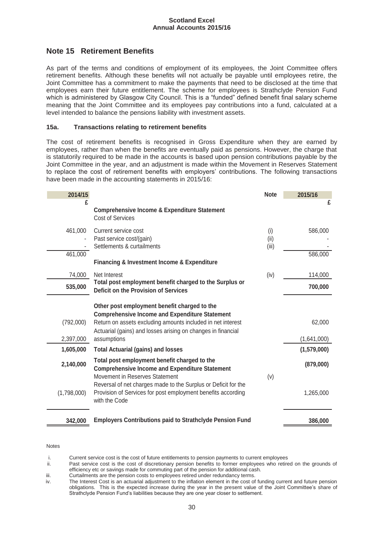# **Note 15 Retirement Benefits**

As part of the terms and conditions of employment of its employees, the Joint Committee offers retirement benefits. Although these benefits will not actually be payable until employees retire, the Joint Committee has a commitment to make the payments that need to be disclosed at the time that employees earn their future entitlement. The scheme for employees is Strathclyde Pension Fund which is administered by Glasgow City Council. This is a "funded" defined benefit final salary scheme meaning that the Joint Committee and its employees pay contributions into a fund, calculated at a level intended to balance the pensions liability with investment assets.

# **15a. Transactions relating to retirement benefits**

The cost of retirement benefits is recognised in Gross Expenditure when they are earned by employees, rather than when the benefits are eventually paid as pensions. However, the charge that is statutorily required to be made in the accounts is based upon pension contributions payable by the Joint Committee in the year, and an adjustment is made within the Movement in Reserves Statement to replace the cost of retirement benefits with employers' contributions. The following transactions have been made in the accounting statements in 2015/16:

| 2014/15                |                                                                                                                                                                                                                                                     | <b>Note</b>          | 2015/16               |
|------------------------|-----------------------------------------------------------------------------------------------------------------------------------------------------------------------------------------------------------------------------------------------------|----------------------|-----------------------|
| £                      | <b>Comprehensive Income &amp; Expenditure Statement</b><br>Cost of Services                                                                                                                                                                         |                      | £                     |
| 461,000                | Current service cost<br>Past service cost/(gain)<br>Settlements & curtailments                                                                                                                                                                      | (i)<br>(ii)<br>(iii) | 586,000               |
| 461,000                | <b>Financing &amp; Investment Income &amp; Expenditure</b>                                                                                                                                                                                          |                      | 586,000               |
| 74,000                 | Net Interest                                                                                                                                                                                                                                        | (iv)                 | 114,000               |
| 535,000                | Total post employment benefit charged to the Surplus or<br>Deficit on the Provision of Services                                                                                                                                                     |                      | 700,000               |
| (792,000)<br>2,397,000 | Other post employment benefit charged to the<br><b>Comprehensive Income and Expenditure Statement</b><br>Return on assets excluding amounts included in net interest<br>Actuarial (gains) and losses arising on changes in financial<br>assumptions |                      | 62,000<br>(1,641,000) |
| 1,605,000              | <b>Total Actuarial (gains) and losses</b>                                                                                                                                                                                                           |                      | (1,579,000)           |
| 2,140,000              | Total post employment benefit charged to the<br><b>Comprehensive Income and Expenditure Statement</b>                                                                                                                                               |                      | (879,000)             |
| (1,798,000)            | Movement in Reserves Statement<br>Reversal of net charges made to the Surplus or Deficit for the<br>Provision of Services for post employment benefits according<br>with the Code                                                                   | (v)                  | 1,265,000             |
| 342,000                | <b>Employers Contributions paid to Strathclyde Pension Fund</b>                                                                                                                                                                                     |                      | 386,000               |

Notes

i. Current service cost is the cost of future entitlements to pension payments to current employees<br>ii. Past service cost is the cost of discretionary pension benefits to former employees who retire

Past service cost is the cost of discretionary pension benefits to former employees who retired on the grounds of efficiency etc or savings made for commuting part of the pension for additional cash.

iii. Curtailments are the pension costs to employees retired under redundancy terms.

iv. The Interest Cost is an actuarial adjustment to the inflation element in the cost of funding current and future pension obligations. This is the expected increase during the year in the present value of the Joint Committee's share of Strathclyde Pension Fund's liabilities because they are one year closer to settlement.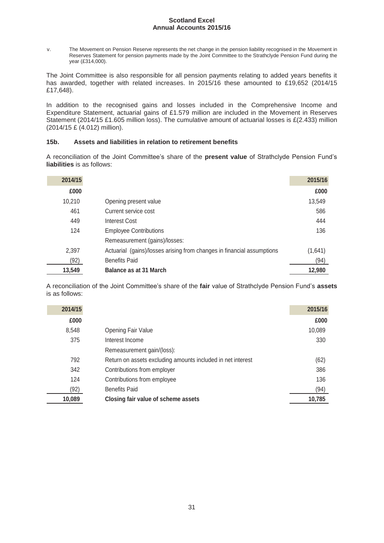v. The Movement on Pension Reserve represents the net change in the pension liability recognised in the Movement in Reserves Statement for pension payments made by the Joint Committee to the Strathclyde Pension Fund during the year (£314,000).

The Joint Committee is also responsible for all pension payments relating to added years benefits it has awarded, together with related increases. In 2015/16 these amounted to £19,652 (2014/15 £17,648).

In addition to the recognised gains and losses included in the Comprehensive Income and Expenditure Statement, actuarial gains of £1.579 million are included in the Movement in Reserves Statement (2014/15 £1.605 million loss). The cumulative amount of actuarial losses is £(2.433) million (2014/15 £ (4.012) million).

# **15b. Assets and liabilities in relation to retirement benefits**

A reconciliation of the Joint Committee's share of the **present value** of Strathclyde Pension Fund's **liabilities** is as follows:

| 2014/15 |                                                                        | 2015/16 |
|---------|------------------------------------------------------------------------|---------|
| £000    |                                                                        | £000    |
| 10,210  | Opening present value                                                  | 13,549  |
| 461     | Current service cost                                                   | 586     |
| 449     | <b>Interest Cost</b>                                                   | 444     |
| 124     | <b>Employee Contributions</b>                                          | 136     |
|         | Remeasurement (gains)/losses:                                          |         |
| 2,397   | Actuarial (gains)/losses arising from changes in financial assumptions | (1,641) |
| (92)    | <b>Benefits Paid</b>                                                   | (94)    |
| 13,549  | Balance as at 31 March                                                 | 12,980  |

A reconciliation of the Joint Committee's share of the **fair** value of Strathclyde Pension Fund's **assets** is as follows:

| 2014/15 |                                                             | 2015/16 |
|---------|-------------------------------------------------------------|---------|
| £000    |                                                             | £000    |
| 8,548   | <b>Opening Fair Value</b>                                   | 10,089  |
| 375     | Interest Income                                             | 330     |
|         | Remeasurement gain/(loss):                                  |         |
| 792     | Return on assets excluding amounts included in net interest | (62)    |
| 342     | Contributions from employer                                 | 386     |
| 124     | Contributions from employee                                 | 136     |
| (92)    | <b>Benefits Paid</b>                                        | (94)    |
| 10,089  | Closing fair value of scheme assets                         | 10,785  |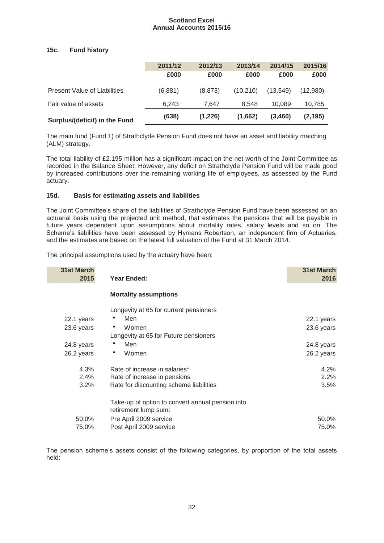# **15c. Fund history**

|                                     | 2011/12 | 2012/13 | 2013/14   | 2014/15  | 2015/16  |
|-------------------------------------|---------|---------|-----------|----------|----------|
|                                     | £000    | £000    | £000      | £000     | £000     |
| <b>Present Value of Liabilities</b> | (6,881) | (8.873) | (10, 210) | (13,549) | (12,980) |
| Fair value of assets                | 6.243   | 7.647   | 8.548     | 10.089   | 10,785   |
| Surplus/(deficit) in the Fund       | (638)   | (1,226) | (1,662)   | (3,460)  | (2, 195) |

The main fund (Fund 1) of Strathclyde Pension Fund does not have an asset and liability matching (ALM) strategy.

The total liability of £2.195 million has a significant impact on the net worth of the Joint Committee as recorded in the Balance Sheet. However, any deficit on Strathclyde Pension Fund will be made good by increased contributions over the remaining working life of employees, as assessed by the Fund actuary.

# **15d. Basis for estimating assets and liabilities**

The Joint Committee's share of the liabilities of Strathclyde Pension Fund have been assessed on an actuarial basis using the projected unit method, that estimates the pensions that will be payable in future years dependent upon assumptions about mortality rates, salary levels and so on. The Scheme's liabilities have been assessed by Hymans Robertson, an independent firm of Actuaries, and the estimates are based on the latest full valuation of the Fund at 31 March 2014.

The principal assumptions used by the actuary have been:

| <b>31st March</b><br>2015 | Year Ended:                                                              | <b>31st March</b><br>2016 |
|---------------------------|--------------------------------------------------------------------------|---------------------------|
|                           | <b>Mortality assumptions</b>                                             |                           |
|                           |                                                                          |                           |
|                           | Longevity at 65 for current pensioners                                   |                           |
| 22.1 years                | Men                                                                      | 22.1 years                |
| 23.6 years                | Women                                                                    | 23.6 years                |
|                           | Longevity at 65 for Future pensioners                                    |                           |
| 24.8 years                | Men                                                                      | 24.8 years                |
| 26.2 years                | Women<br>۰                                                               | 26.2 years                |
| 4.3%                      | Rate of increase in salaries*                                            | 4.2%                      |
| 2.4%                      | Rate of increase in pensions                                             | 2.2%                      |
| 3.2%                      | Rate for discounting scheme liabilities                                  | 3.5%                      |
|                           | Take-up of option to convert annual pension into<br>retirement lump sum: |                           |
| 50.0%                     | Pre April 2009 service                                                   | 50.0%                     |
| 75.0%                     | Post April 2009 service                                                  | 75.0%                     |

The pension scheme's assets consist of the following categories, by proportion of the total assets held: